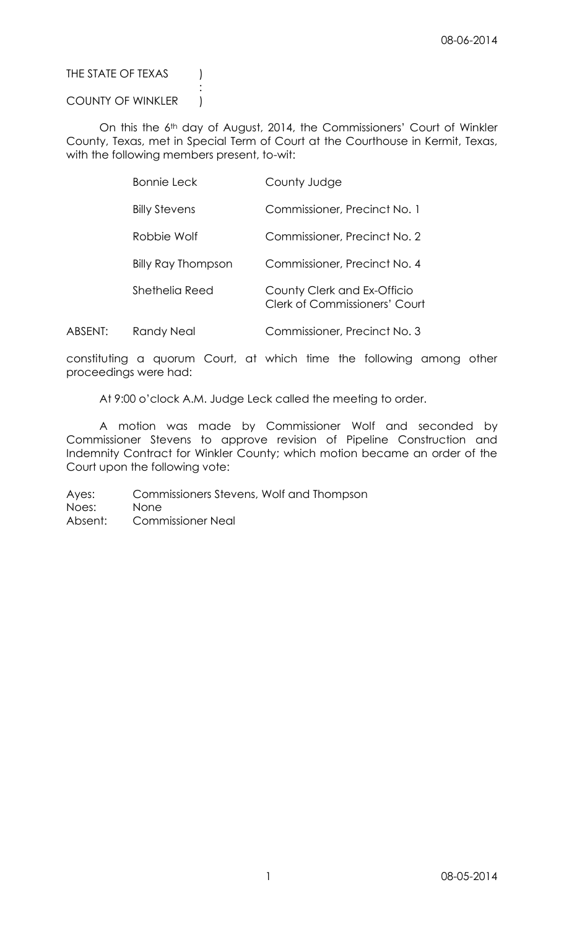THE STATE OF TEXAS (

# COUNTY OF WINKLER |

:

On this the 6th day of August, 2014, the Commissioners' Court of Winkler County, Texas, met in Special Term of Court at the Courthouse in Kermit, Texas, with the following members present, to-wit:

| <b>Bonnie Leck</b>        | County Judge                                                 |
|---------------------------|--------------------------------------------------------------|
| <b>Billy Stevens</b>      | Commissioner, Precinct No. 1                                 |
| Robbie Wolf               | Commissioner, Precinct No. 2                                 |
| <b>Billy Ray Thompson</b> | Commissioner, Precinct No. 4                                 |
| Shethelia Reed            | County Clerk and Ex-Officio<br>Clerk of Commissioners' Court |
|                           |                                                              |

ABSENT: Randy Neal Commissioner, Precinct No. 3

constituting a quorum Court, at which time the following among other proceedings were had:

At 9:00 o'clock A.M. Judge Leck called the meeting to order.

A motion was made by Commissioner Wolf and seconded by Commissioner Stevens to approve revision of Pipeline Construction and Indemnity Contract for Winkler County; which motion became an order of the Court upon the following vote:

Ayes: Commissioners Stevens, Wolf and Thompson Noes: None Absent: Commissioner Neal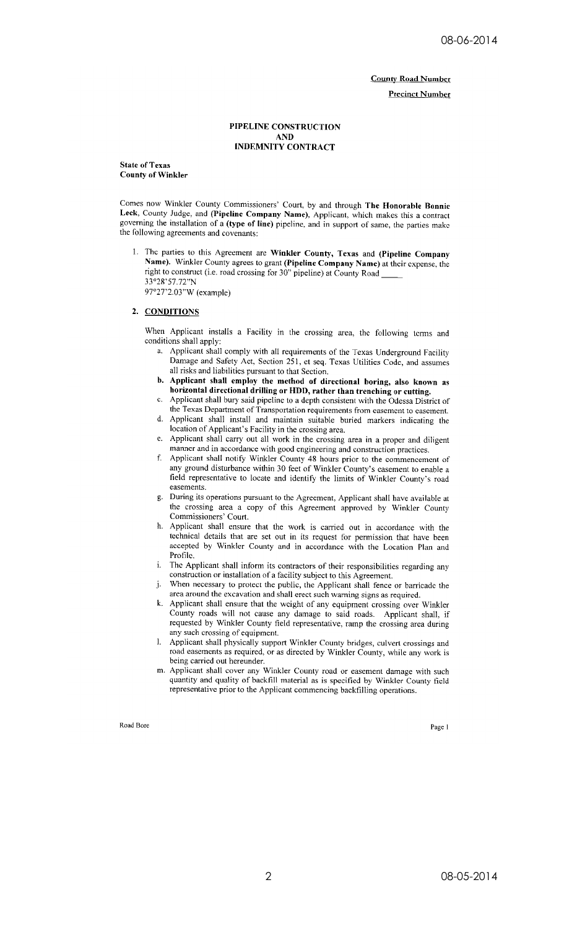**County Road Number** 

**Precinct Number** 

### PIPELINE CONSTRUCTION **AND INDEMNITY CONTRACT**

**State of Texas County of Winkler** 

Comes now Winkler County Commissioners' Court, by and through The Honorable Bonnie Leck, County Judge, and (Pipeline Company Name), Applicant, which makes this a contract governing the installation of a (type of line) pipeline, and in support of same, the parties make the following agreements and covenants:

1. The parties to this Agreement are Winkler County, Texas and (Pipeline Company Name). Winkler County agrees to grant (Pipeline Company Name) at their expense, the right to construct (i.e. road crossing for 30" pipeline) at County Road 33°28'57.72"N 97°27'2.03"W (example)

## 2. CONDITIONS

When Applicant installs a Facility in the crossing area, the following terms and conditions shall apply:

- a. Applicant shall comply with all requirements of the Texas Underground Facility Damage and Safety Act, Section 251, et seq. Texas Utilities Code, and assumes all risks and liabilities pursuant to that Section.
- b. Applicant shall employ the method of directional boring, also known as horizontal directional drilling or HDD, rather than trenching or cutting.
- c. Applicant shall bury said pipeline to a depth consistent with the Odessa District of the Texas Department of Transportation requirements from easement to easement.
- d. Applicant shall install and maintain suitable buried markers indicating the location of Applicant's Facility in the crossing area.
- e. Applicant shall carry out all work in the crossing area in a proper and diligent manner and in accordance with good engineering and construction practices.
- f. Applicant shall notify Winkler County 48 hours prior to the commencement of any ground disturbance within 30 feet of Winkler County's easement to enable a field representative to locate and identify the limits of Winkler County's road easements.
- g. During its operations pursuant to the Agreement, Applicant shall have available at the crossing area a copy of this Agreement approved by Winkler County Commissioners' Court.
- Applicant shall ensure that the work is carried out in accordance with the technical details that are set out in its request for permission that have been accepted by Winkler County and in accordance with the Location Plan and Profile.
- The Applicant shall inform its contractors of their responsibilities regarding any i. construction or installation of a facility subject to this Agreement.
- When necessary to protect the public, the Applicant shall fence or barricade the j. area around the excavation and shall erect such warning signs as required.
- k. Applicant shall ensure that the weight of any equipment crossing over Winkler County roads will not cause any damage to said roads. Applicant shall, if requested by Winkler County field representative, ramp the crossing area during any such crossing of equipment.
- 1. Applicant shall physically support Winkler County bridges, culvert crossings and road easements as required, or as directed by Winkler County, while any work is being carried out hereunder.
- m. Applicant shall cover any Winkler County road or easement damage with such quantity and quality of backfill material as is specified by Winkler County field representative prior to the Applicant commencing backfilling operations.

Road Bore

Page 1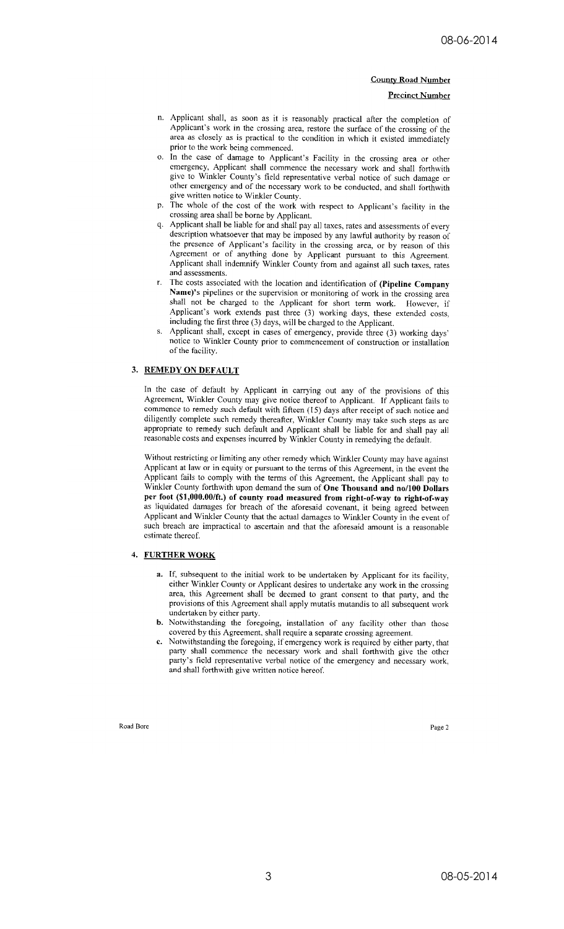### **County Road Number**

#### **Precinct Number**

- n. Applicant shall, as soon as it is reasonably practical after the completion of Applicant's work in the crossing area, restore the surface of the crossing of the area as closely as is practical to the condition in which it existed immediately prior to the work being commenced.
- o. In the case of damage to Applicant's Facility in the crossing area or other emergency, Applicant shall commence the necessary work and shall forthwith give to Winkler County's field representative verbal notice of such damage or other emergency and of the necessary work to be conducted, and shall forthwith give written notice to Winkler County.
- The whole of the cost of the work with respect to Applicant's facility in the crossing area shall be borne by Applicant.
- q. Applicant shall be liable for and shall pay all taxes, rates and assessments of every description whatsoever that may be imposed by any lawful authority by reason of the presence of Applicant's facility in the crossing area, or by reason of this Agreement or of anything done by Applicant pursuant to this Agreement. Applicant shall indemnify Winkler County from and against all such taxes, rates and assessments.
- The costs associated with the location and identification of (Pipeline Company Name)'s pipelines or the supervision or monitoring of work in the crossing area shall not be charged to the Applicant for short term work. However, if Applicant's work extends past three (3) working days, these extended costs, including the first three (3) days, will be charged to the Applicant.
- Applicant shall, except in cases of emergency, provide three (3) working days' notice to Winkler County prior to commencement of construction or installation of the facility.

## 3. REMEDY ON DEFAULT

In the case of default by Applicant in carrying out any of the provisions of this Agreement, Winkler County may give notice thereof to Applicant. If Applicant fails to commence to remedy such default with fifteen (15) days after receipt of such notice and diligently complete such remedy thereafter, Winkler County may take such steps as are appropriate to remedy such default and Applicant shall be liable for and shall pay all reasonable costs and expenses incurred by Winkler County in remedying the default.

Without restricting or limiting any other remedy which Winkler County may have against Applicant at law or in equity or pursuant to the terms of this Agreement, in the event the Applicant fails to comply with the terms of this Agreement, the Applicant shall pay to Winkler County forthwith upon demand the sum of One Thousand and no/100 Dollars per foot (\$1,000.00/ft.) of county road measured from right-of-way to right-of-way as liquidated damages for breach of the aforesaid covenant, it being agreed between Applicant and Winkler County that the actual damages to Winkler County in the event of such breach are impractical to ascertain and that the aforesaid amount is a reasonable estimate thereof.

## 4. FURTHER WORK

- a. If, subsequent to the initial work to be undertaken by Applicant for its facility, either Winkler County or Applicant desires to undertake any work in the crossing area, this Agreement shall be decmed to grant consent to that party, and the provisions of this Agreement shall apply mutatis mutandis to all subsequent work undertaken by either party.
- b. Notwithstanding the foregoing, installation of any facility other than those covered by this Agreement, shall require a separate crossing agreement.
- Notwithstanding the foregoing, if emergency work is required by either party, that party shall commence the necessary work and shall forthwith give the other party's field representative verbal notice of the emergency and necessary work, and shall forthwith give written notice hereof.

Road Bore

Page 2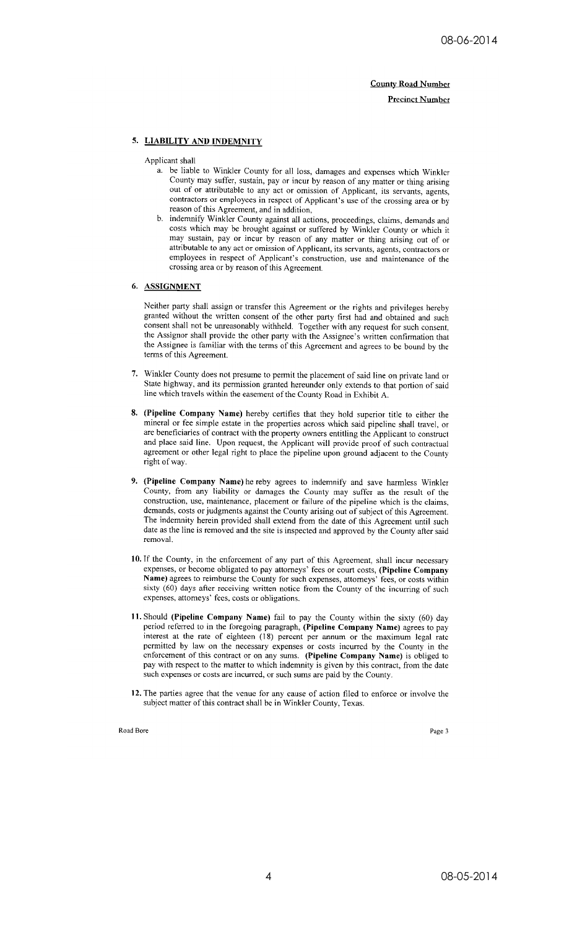**County Road Number Precinct Number** 

# 5. LIABILITY AND INDEMNITY

Applicant shall

- a. be liable to Winkler County for all loss, damages and expenses which Winkler County may suffer, sustain, pay or incur by reason of any matter or thing arising out of or attributable to any act or omission of Applicant, its servants, agents, contractors or employees in respect of Applicant's use of the crossing area or by reason of this Agreement, and in addition,
- b. indemnify Winkler County against all actions, proceedings, claims, demands and costs which may be brought against or suffered by Winkler County or which it may sustain, pay or incur by reason of any matter or thing arising out of or attributable to any act or omission of Applicant, its servants, agents, contractors or employees in respect of Applicant's construction, use and maintenance of the crossing area or by reason of this Agreement.

## 6. ASSIGNMENT

Neither party shall assign or transfer this Agreement or the rights and privileges hereby granted without the written consent of the other party first had and obtained and such consent shall not be unreasonably withheld. Together with any request for such consent, the Assignor shall provide the other party with the Assignee's written confirmation that the Assignee is familiar with the terms of this Agreement and agrees to be bound by the terms of this Agreement.

- 7. Winkler County does not presume to permit the placement of said line on private land or State highway, and its permission granted hereunder only extends to that portion of said line which travels within the easement of the County Road in Exhibit A.
- 8. (Pipeline Company Name) hereby certifies that they hold superior title to either the mineral or fee simple estate in the properties across which said pipeline shall travel, or are beneficiaries of contract with the property owners entitling the Applicant to construct and place said line. Upon request, the Applicant will provide proof of such contractual agreement or other legal right to place the pipeline upon ground adjacent to the County right of way.
- 9. (Pipeline Company Name) he reby agrees to indemnify and save harmless Winkler County, from any liability or damages the County may suffer as the result of the construction, use, maintenance, placement or failure of the pipeline which is the claims, demands, costs or judgments against the County arising out of subject of this Agreement. The indemnity herein provided shall extend from the date of this Agreement until such date as the line is removed and the site is inspected and approved by the County after said removal.
- 10. If the County, in the enforcement of any part of this Agreement, shall incur necessary expenses, or become obligated to pay attorneys' fees or court costs, (Pipeline Company Name) agrees to reimburse the County for such expenses, attorneys' fees, or costs within sixty (60) days after receiving written notice from the County of the incurring of such expenses, attorneys' fees, costs or obligations.
- 11. Should (Pipeline Company Name) fail to pay the County within the sixty (60) day period referred to in the foregoing paragraph, (Pipeline Company Name) agrees to pay interest at the rate of eighteen (18) percent per annum or the maximum legal rate permitted by law on the necessary expenses or costs incurred by the County in the enforcement of this contract or on any sums. (Pipeline Company Name) is obliged to pay with respect to the matter to which indemnity is given by this contract, from the date such expenses or costs are incurred, or such sums are paid by the County.
- 12. The parties agree that the venue for any cause of action filed to enforce or involve the subject matter of this contract shall be in Winkler County, Texas.

Road Bore

Page 3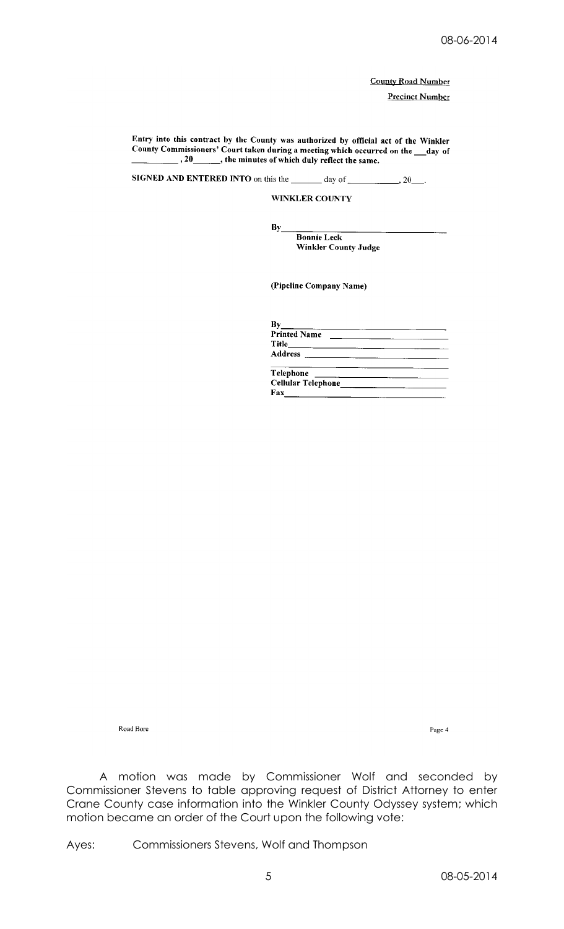**County Road Number** 

**Precinct Number** 

Entry into this contract by the County was authorized by official act of the Winkler<br>County Commissioners' Court taken during a meeting which occurred on the \_\_day of  $\overline{a}$ , 20 \_\_\_\_\_\_, the minutes of which duly reflect the same.

**SIGNED AND ENTERED INTO** on this the  $\_\_\_\_\_\$  day of  $\_\_\_\_\_\_\_\_\_\_\_\_$ .

By

WINKLER COUNTY

**Bonnie Leck** Winkler County Judge

(Pipeline Company Name)

| Bν                                                                                                                                                                                                                                                |  |
|---------------------------------------------------------------------------------------------------------------------------------------------------------------------------------------------------------------------------------------------------|--|
| <b>Printed Name</b>                                                                                                                                                                                                                               |  |
|                                                                                                                                                                                                                                                   |  |
| <b>Address</b><br><u> 1980 - Jan Barat, prima prima prima prima prima prima prima prima prima prima prima prima prima prima prima p</u>                                                                                                           |  |
| Telephone<br><u> The Communication of the Communication of the Communication of the Communication of the Communication of the Communication of the Communication of the Communication of the Communication of the Communication of the Commun</u> |  |
| <b>Cellular Telephone</b>                                                                                                                                                                                                                         |  |
| Fax                                                                                                                                                                                                                                               |  |

Road Bore

Page  $4\,$ 

A motion was made by Commissioner Wolf and seconded by Commissioner Stevens to table approving request of District Attorney to enter Crane County case information into the Winkler County Odyssey system; which motion became an order of the Court upon the following vote:

Ayes: Commissioners Stevens, Wolf and Thompson